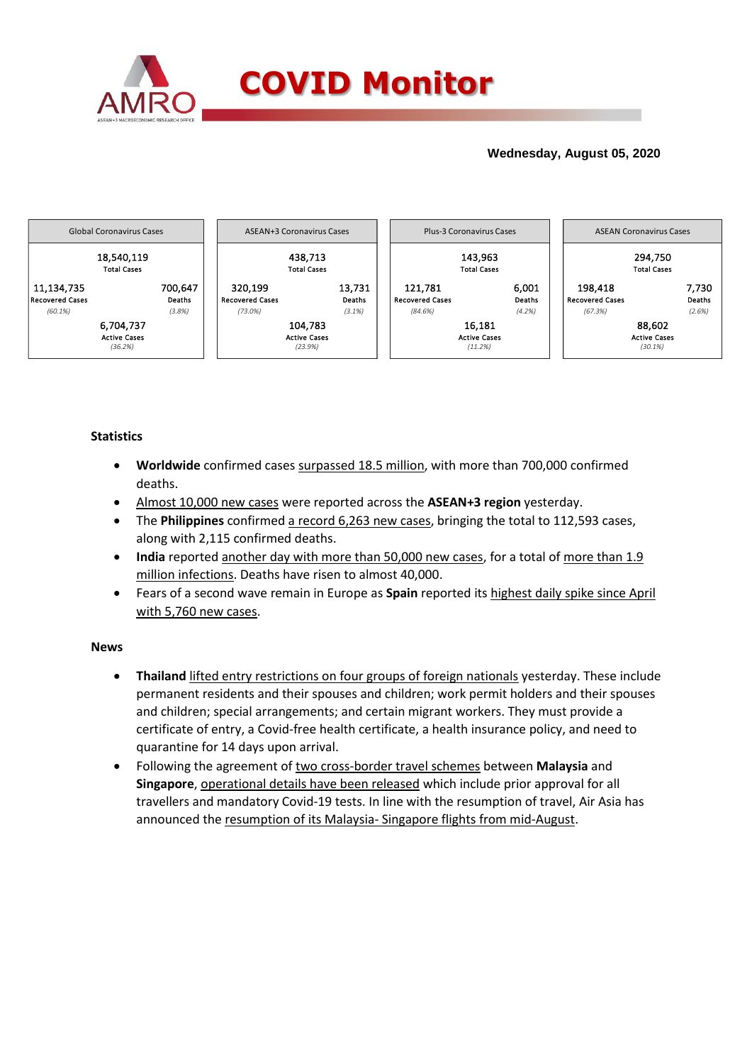

## **Wednesday, August 05, 2020**



### **Statistics**

- **Worldwide** confirmed cases surpassed 18.5 million, with more than 700,000 confirmed deaths.
- Almost 10,000 new cases were reported across the **ASEAN+3 region** yesterday.
- The **Philippines** confirmed a record 6,263 new cases, bringing the total to 112,593 cases, along with 2,115 confirmed deaths.
- India reported another day with more than 50,000 new cases, for a total of more than 1.9 million infections. Deaths have risen to almost 40,000.
- Fears of a second wave remain in Europe as **Spain** reported its highest daily spike since April with 5,760 new cases.

### **News**

- **Thailand** lifted entry restrictions on four groups of foreign nationals yesterday. These include permanent residents and their spouses and children; work permit holders and their spouses and children; special arrangements; and certain migrant workers. They must provide a certificate of entry, a Covid-free health certificate, a health insurance policy, and need to quarantine for 14 days upon arrival.
- Following the agreement of two cross-border travel schemes between **Malaysia** and **Singapore**, operational details have been released which include prior approval for all travellers and mandatory Covid-19 tests. In line with the resumption of travel, Air Asia has announced the resumption of its Malaysia- Singapore flights from mid-August.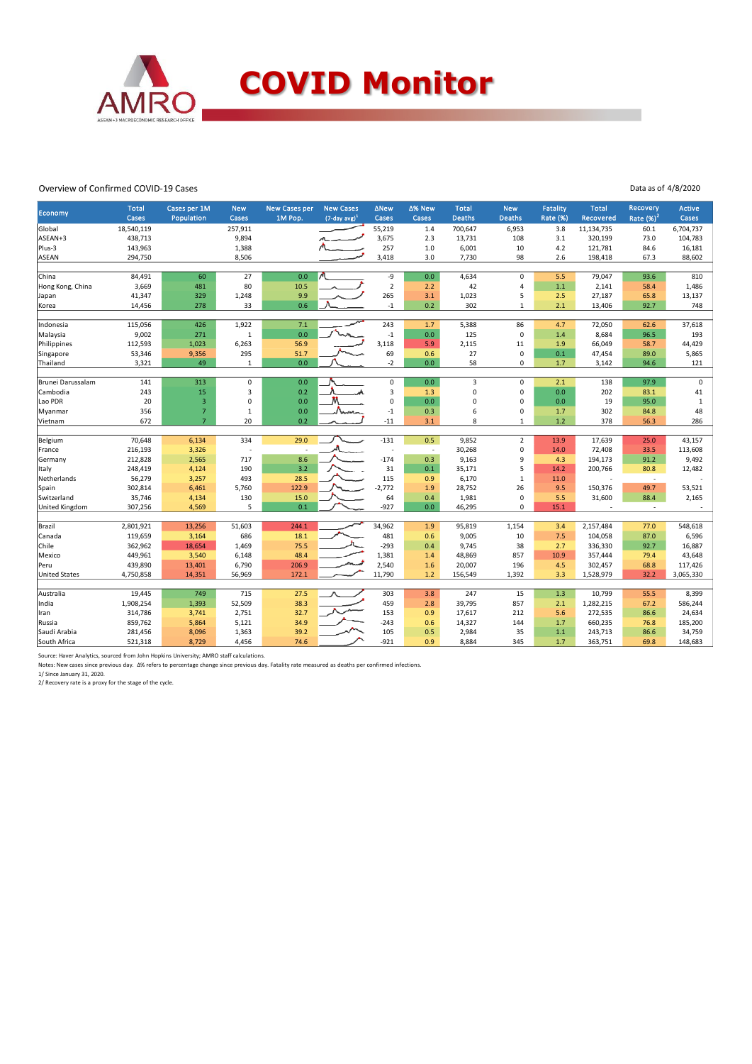

#### Overview of Confirmed COVID-19 Cases

Data as of 4/8/2020

|                       | <b>Total</b> | Cases per 1M   | <b>New</b>  | <b>New Cases per</b> | <b>New Cases</b>            | <b>ANew</b>              | ∆% New       | <b>Total</b>  | <b>New</b>     | <b>Fatality</b> | <b>Total</b> | Recovery                 | <b>Active</b> |
|-----------------------|--------------|----------------|-------------|----------------------|-----------------------------|--------------------------|--------------|---------------|----------------|-----------------|--------------|--------------------------|---------------|
| Economy               | Cases        | Population     | Cases       | 1M Pop.              | $(7$ -day avg) <sup>1</sup> | Cases                    | <b>Cases</b> | <b>Deaths</b> | <b>Deaths</b>  | Rate (%)        | Recovered    | Rate $(%)2$              | Cases         |
| Global                | 18,540,119   |                | 257,911     |                      |                             | 55,219                   | 1.4          | 700,647       | 6,953          | 3.8             | 11,134,735   | 60.1                     | 6,704,737     |
| ASEAN+3               | 438,713      |                | 9,894       |                      |                             | 3,675                    | 2.3          | 13,731        | 108            | 3.1             | 320,199      | 73.0                     | 104,783       |
| Plus-3                | 143,963      |                | 1,388       |                      |                             | 257                      | 1.0          | 6,001         | 10             | 4.2             | 121,781      | 84.6                     | 16,181        |
| <b>ASEAN</b>          | 294,750      |                | 8,506       |                      |                             | 3,418                    | 3.0          | 7,730         | 98             | 2.6             | 198,418      | 67.3                     | 88,602        |
|                       |              |                |             |                      |                             |                          |              |               |                |                 |              |                          |               |
| China                 | 84,491       | 60             | 27          | 0.0                  |                             | -9                       | 0.0          | 4,634         | $\mathbf 0$    | 5.5             | 79,047       | 93.6                     | 810           |
| Hong Kong, China      | 3,669        | 481            | 80          | 10.5                 |                             | $\overline{2}$           | 2.2          | 42            | $\overline{4}$ | 1.1             | 2,141        | 58.4                     | 1,486         |
| Japan                 | 41,347       | 329            | 1,248       | 9.9                  |                             | 265                      | 3.1          | 1,023         | 5              | 2.5             | 27,187       | 65.8                     | 13,137        |
| Korea                 | 14,456       | 278            | 33          | 0.6                  |                             | $^{\mbox{-}1}$           | 0.2          | 302           | $\overline{1}$ | 2.1             | 13,406       | 92.7                     | 748           |
|                       |              |                |             |                      |                             |                          |              |               |                |                 |              |                          |               |
| Indonesia             | 115,056      | 426            | 1,922       | 7.1                  |                             | 243                      | 1.7          | 5,388         | 86             | 4.7             | 72,050       | 62.6                     | 37,618        |
| Malaysia              | 9,002        | 271            | $\mathbf 1$ | 0.0                  |                             | $^{\mbox{-}1}$           | 0.0          | 125           | $\mathbf 0$    | 1.4             | 8,684        | 96.5                     | 193           |
| Philippines           | 112,593      | 1,023          | 6,263       | 56.9                 |                             | 3.118                    | 5.9          | 2,115         | 11             | 1.9             | 66,049       | 58.7                     | 44,429        |
| Singapore             | 53,346       | 9,356          | 295         | 51.7                 |                             | 69                       | 0.6          | 27            | $\mathbf 0$    | 0.1             | 47,454       | 89.0                     | 5,865         |
| Thailand              | 3,321        | 49             | $\mathbf 1$ | 0.0                  |                             | $-2$                     | 0.0          | 58            | $\mathbf 0$    | 1.7             | 3,142        | 94.6                     | 121           |
| Brunei Darussalam     | 141          | 313            | $\pmb{0}$   | 0.0                  |                             | 0                        | 0.0          | 3             | $\mathsf 0$    | 2.1             | 138          | 97.9                     | $\mathsf 0$   |
| Cambodia              | 243          | 15             | 3           | 0.2                  |                             | 3                        | 1.3          | 0             | $\mathbf 0$    | 0.0             | 202          | 83.1                     | 41            |
| Lao PDR               | 20           | $\overline{3}$ | $\mathbf 0$ | 0.0                  |                             | $\mathbf 0$              | 0.0          | 0             | $\pmb{0}$      | 0.0             | 19           | 95.0                     | $\mathbf{1}$  |
| Myanmar               | 356          | $\overline{7}$ | $\mathbf 1$ | 0.0                  |                             | $-1$                     | 0.3          | 6             | $\pmb{0}$      | 1.7             | 302          | 84.8                     | 48            |
| Vietnam               | 672          | $\overline{7}$ | 20          | 0.2                  | Norma                       | $-11$                    | 3.1          | 8             | $\mathbf{1}$   | $1.2$           | 378          | 56.3                     | 286           |
|                       |              |                |             |                      |                             |                          |              |               |                |                 |              |                          |               |
| Belgium               | 70,648       | 6,134          | 334         | 29.0                 |                             | $-131$                   | 0.5          | 9,852         | $\overline{2}$ | 13.9            | 17,639       | 25.0                     | 43,157        |
| France                | 216,193      | 3,326          |             |                      |                             | $\overline{\phantom{a}}$ | $\sim$       | 30,268        | $\pmb{0}$      | 14.0            | 72,408       | 33.5                     | 113,608       |
| Germany               | 212,828      | 2,565          | 717         | 8.6                  |                             | $-174$                   | 0.3          | 9,163         | 9              | 4.3             | 194,173      | 91.2                     | 9,492         |
| Italy                 | 248,419      | 4,124          | 190         | 3.2                  |                             | 31                       | 0.1          | 35,171        | 5              | 14.2            | 200,766      | 80.8                     | 12,482        |
| Netherlands           | 56,279       | 3,257          | 493         | 28.5                 |                             | 115                      | 0.9          | 6,170         | $\mathbf{1}$   | 11.0            |              | $\overline{\phantom{a}}$ |               |
| Spain                 | 302,814      | 6,461          | 5,760       | 122.9                |                             | $-2,772$                 | 1.9          | 28,752        | 26             | 9.5             | 150,376      | 49.7                     | 53,521        |
| Switzerland           | 35,746       | 4,134          | 130         | 15.0                 |                             | 64                       | 0.4          | 1,981         | $\mathbf 0$    | 5.5             | 31,600       | 88.4                     | 2,165         |
| <b>United Kingdom</b> | 307,256      | 4,569          | 5           | 0.1                  |                             | $-927$                   | 0.0          | 46,295        | $\Omega$       | 15.1            |              | $\sim$                   |               |
|                       |              |                |             |                      |                             |                          |              |               |                |                 |              |                          |               |
| Brazil                | 2,801,921    | 13,256         | 51,603      | 244.1                |                             | 34,962                   | 1.9          | 95,819        | 1,154          | 3.4             | 2,157,484    | 77.0                     | 548,618       |
| Canada                | 119,659      | 3,164          | 686         | 18.1                 |                             | 481                      | 0.6          | 9,005         | 10             | 7.5             | 104,058      | 87.0                     | 6,596         |
| Chile                 | 362,962      | 18,654         | 1,469       | 75.5                 |                             | $-293$                   | 0.4          | 9,745         | 38             | 2.7             | 336,330      | 92.7                     | 16,887        |
| Mexico                | 449,961      | 3,540          | 6,148       | 48.4                 |                             | 1,381                    | 1.4          | 48,869        | 857            | 10.9            | 357,444      | 79.4                     | 43,648        |
| Peru                  | 439,890      | 13,401         | 6,790       | 206.9                |                             | 2,540                    | 1.6          | 20,007        | 196            | 4.5             | 302,457      | 68.8                     | 117,426       |
| <b>United States</b>  | 4,750,858    | 14,351         | 56,969      | 172.1                |                             | 11,790                   | 1.2          | 156,549       | 1,392          | 3.3             | 1,528,979    | 32.2                     | 3,065,330     |
|                       |              |                |             |                      |                             |                          |              |               |                |                 |              |                          |               |
| Australia             | 19,445       | 749            | 715         | 27.5                 |                             | 303                      | 3.8          | 247           | 15             | 1.3             | 10,799       | 55.5                     | 8,399         |
| India                 | 1,908,254    | 1,393          | 52,509      | 38.3                 |                             | 459                      | 2.8          | 39,795        | 857            | 2.1             | 1,282,215    | 67.2                     | 586,244       |
| Iran                  | 314,786      | 3,741          | 2,751       | 32.7                 |                             | 153                      | 0.9          | 17,617        | 212            | 5.6             | 272,535      | 86.6                     | 24,634        |
| Russia                | 859,762      | 5,864          | 5,121       | 34.9                 |                             | $-243$                   | 0.6          | 14,327        | 144            | 1.7             | 660,235      | 76.8                     | 185,200       |
| Saudi Arabia          | 281,456      | 8,096          | 1,363       | 39.2                 |                             | 105                      | 0.5          | 2,984         | 35             | $1.1$           | 243,713      | 86.6                     | 34,759        |
| South Africa          | 521,318      | 8,729          | 4,456       | 74.6                 |                             | $-921$                   | 0.9          | 8,884         | 345            | 1.7             | 363,751      | 69.8                     | 148,683       |

Source: Haver Analytics, sourced from John Hopkins University; AMRO staff calculations.<br>Notes: New cases since previous day. ∆% refers to percentage change since previous day. Fatality rate measured as deaths per confirmed